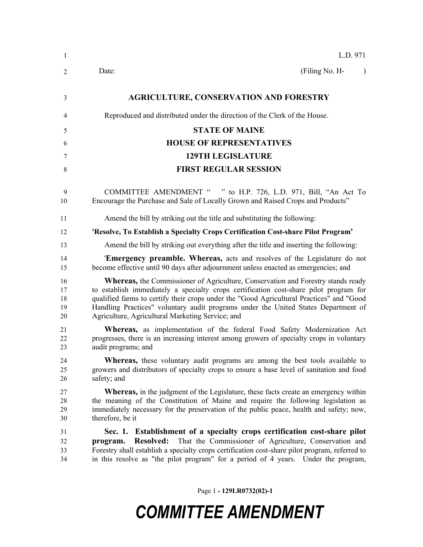| $\mathbf{1}$               | L.D. 971                                                                                                                                                                                                                                                                                                                                                                                                               |
|----------------------------|------------------------------------------------------------------------------------------------------------------------------------------------------------------------------------------------------------------------------------------------------------------------------------------------------------------------------------------------------------------------------------------------------------------------|
| 2                          | (Filing No. H-<br>Date:<br>$\lambda$                                                                                                                                                                                                                                                                                                                                                                                   |
| 3                          | <b>AGRICULTURE, CONSERVATION AND FORESTRY</b>                                                                                                                                                                                                                                                                                                                                                                          |
| 4                          | Reproduced and distributed under the direction of the Clerk of the House.                                                                                                                                                                                                                                                                                                                                              |
| 5                          | <b>STATE OF MAINE</b>                                                                                                                                                                                                                                                                                                                                                                                                  |
| 6                          | <b>HOUSE OF REPRESENTATIVES</b>                                                                                                                                                                                                                                                                                                                                                                                        |
| 7                          | <b>129TH LEGISLATURE</b>                                                                                                                                                                                                                                                                                                                                                                                               |
| 8                          | <b>FIRST REGULAR SESSION</b>                                                                                                                                                                                                                                                                                                                                                                                           |
| 9<br>10                    | COMMITTEE AMENDMENT " " to H.P. 726, L.D. 971, Bill, "An Act To<br>Encourage the Purchase and Sale of Locally Grown and Raised Crops and Products"                                                                                                                                                                                                                                                                     |
| 11                         | Amend the bill by striking out the title and substituting the following:                                                                                                                                                                                                                                                                                                                                               |
| 12                         | 'Resolve, To Establish a Specialty Crops Certification Cost-share Pilot Program'                                                                                                                                                                                                                                                                                                                                       |
| 13                         | Amend the bill by striking out everything after the title and inserting the following:                                                                                                                                                                                                                                                                                                                                 |
| 14<br>15                   | <b>Emergency preamble. Whereas,</b> acts and resolves of the Legislature do not<br>become effective until 90 days after adjournment unless enacted as emergencies; and                                                                                                                                                                                                                                                 |
| 16<br>17<br>18<br>19<br>20 | <b>Whereas,</b> the Commissioner of Agriculture, Conservation and Forestry stands ready<br>to establish immediately a specialty crops certification cost-share pilot program for<br>qualified farms to certify their crops under the "Good Agricultural Practices" and "Good<br>Handling Practices" voluntary audit programs under the United States Department of<br>Agriculture, Agricultural Marketing Service; and |
| 21<br>22<br>23             | Whereas, as implementation of the federal Food Safety Modernization Act<br>progresses, there is an increasing interest among growers of specialty crops in voluntary<br>audit programs; and                                                                                                                                                                                                                            |
| 24<br>25<br>26             | Whereas, these voluntary audit programs are among the best tools available to<br>growers and distributors of specialty crops to ensure a base level of sanitation and food<br>safety; and                                                                                                                                                                                                                              |
| 27<br>28<br>29<br>30       | <b>Whereas,</b> in the judgment of the Legislature, these facts create an emergency within<br>the meaning of the Constitution of Maine and require the following legislation as<br>immediately necessary for the preservation of the public peace, health and safety; now,<br>therefore, be it                                                                                                                         |
| 31<br>32<br>33<br>34       | Sec. 1. Establishment of a specialty crops certification cost-share pilot<br><b>Resolved:</b><br>That the Commissioner of Agriculture, Conservation and<br>program.<br>Forestry shall establish a specialty crops certification cost-share pilot program, referred to<br>in this resolve as "the pilot program" for a period of 4 years. Under the program,                                                            |

Page 1 **- 129LR0732(02)-1**

## *COMMITTEE AMENDMENT*